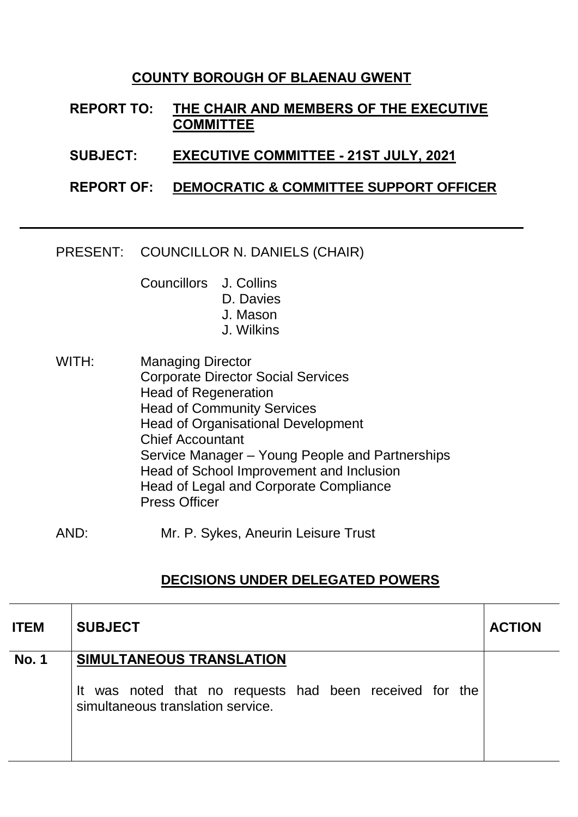## **COUNTY BOROUGH OF BLAENAU GWENT**

**REPORT TO: THE CHAIR AND MEMBERS OF THE EXECUTIVE COMMITTEE**

**SUBJECT: EXECUTIVE COMMITTEE - 21ST JULY, 2021**

**REPORT OF: DEMOCRATIC & COMMITTEE SUPPORT OFFICER**

PRESENT: COUNCILLOR N. DANIELS (CHAIR)

Councillors J. Collins

- D. Davies
	- J. Mason
	- J. Wilkins
- WITH: Managing Director Corporate Director Social Services Head of Regeneration Head of Community Services Head of Organisational Development Chief Accountant Service Manager – Young People and Partnerships Head of School Improvement and Inclusion Head of Legal and Corporate Compliance Press Officer
- AND: Mr. P. Sykes, Aneurin Leisure Trust

## **DECISIONS UNDER DELEGATED POWERS**

| <b>ITEM</b>  | <b>SUBJECT</b>                                                                                                           | <b>ACTION</b> |
|--------------|--------------------------------------------------------------------------------------------------------------------------|---------------|
| <b>No. 1</b> | SIMULTANEOUS TRANSLATION<br>It was noted that no requests had been received for the<br>simultaneous translation service. |               |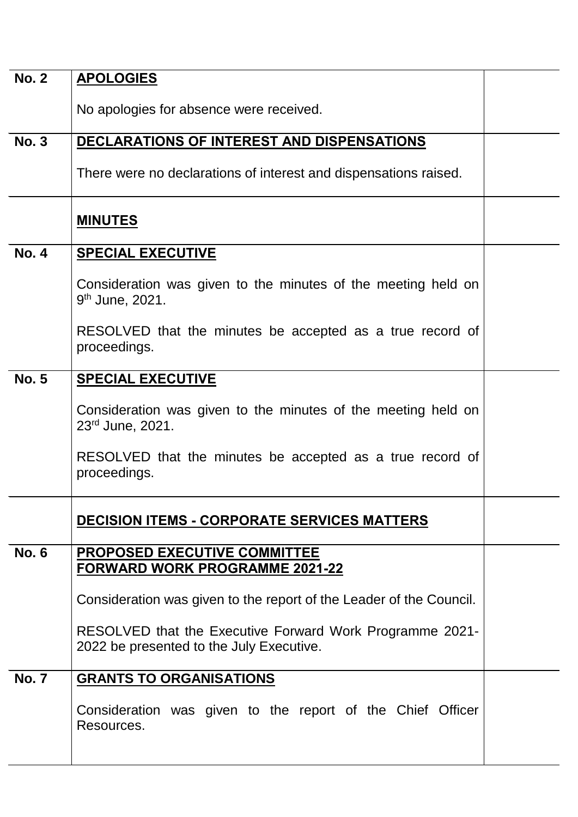| <b>No. 2</b> |                                                                                                      |  |
|--------------|------------------------------------------------------------------------------------------------------|--|
|              | <b>APOLOGIES</b>                                                                                     |  |
|              | No apologies for absence were received.                                                              |  |
| <b>No. 3</b> | DECLARATIONS OF INTEREST AND DISPENSATIONS                                                           |  |
|              | There were no declarations of interest and dispensations raised.                                     |  |
|              | <b>MINUTES</b>                                                                                       |  |
| <b>No. 4</b> | <b>SPECIAL EXECUTIVE</b>                                                                             |  |
|              | Consideration was given to the minutes of the meeting held on<br>9 <sup>th</sup> June, 2021.         |  |
|              | RESOLVED that the minutes be accepted as a true record of<br>proceedings.                            |  |
| <b>No. 5</b> | <b>SPECIAL EXECUTIVE</b>                                                                             |  |
|              | Consideration was given to the minutes of the meeting held on<br>23rd June, 2021.                    |  |
|              | RESOLVED that the minutes be accepted as a true record of<br>proceedings.                            |  |
|              | <b>DECISION ITEMS - CORPORATE SERVICES MATTERS</b>                                                   |  |
| <b>No. 6</b> | <b>PROPOSED EXECUTIVE COMMITTEE</b><br><b>FORWARD WORK PROGRAMME 2021-22</b>                         |  |
|              | Consideration was given to the report of the Leader of the Council.                                  |  |
|              | RESOLVED that the Executive Forward Work Programme 2021-<br>2022 be presented to the July Executive. |  |
| <b>No. 7</b> | <b>GRANTS TO ORGANISATIONS</b>                                                                       |  |
|              | Consideration was given to the report of the Chief Officer<br>Resources.                             |  |
|              |                                                                                                      |  |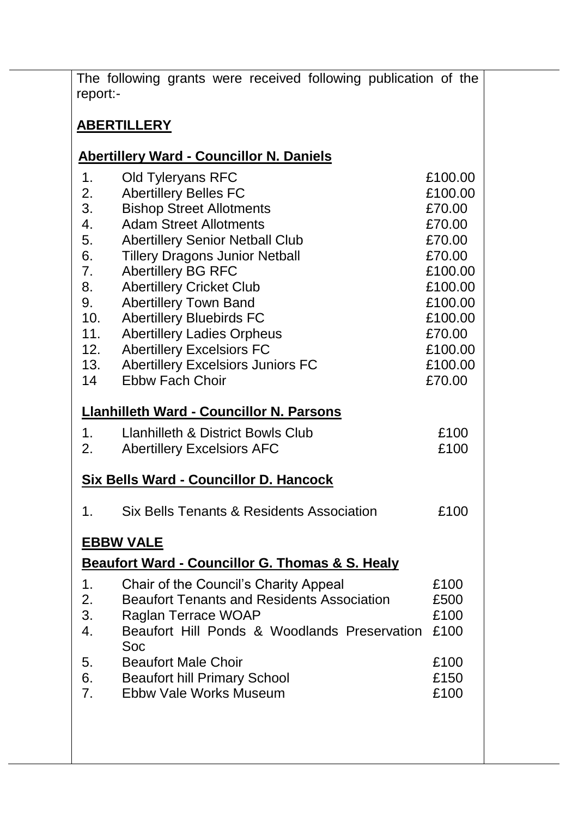|          | The following grants were received following publication of the |         |
|----------|-----------------------------------------------------------------|---------|
| report:- |                                                                 |         |
|          |                                                                 |         |
|          | <b>ABERTILLERY</b>                                              |         |
|          |                                                                 |         |
|          | <b>Abertillery Ward - Councillor N. Daniels</b>                 |         |
| 1.       | <b>Old Tyleryans RFC</b>                                        | £100.00 |
| 2.       | <b>Abertillery Belles FC</b>                                    | £100.00 |
| 3.       | <b>Bishop Street Allotments</b>                                 | £70.00  |
| 4.       | <b>Adam Street Allotments</b>                                   | £70.00  |
| 5.       | <b>Abertillery Senior Netball Club</b>                          | £70.00  |
| 6.       | <b>Tillery Dragons Junior Netball</b>                           | £70.00  |
| 7.       | <b>Abertillery BG RFC</b>                                       | £100.00 |
|          | <b>Abertillery Cricket Club</b>                                 | £100.00 |
| 9.       | <b>Abertillery Town Band</b>                                    | £100.00 |
| 10.      | <b>Abertillery Bluebirds FC</b>                                 | £100.00 |
| 11.      | <b>Abertillery Ladies Orpheus</b>                               | £70.00  |
| 12.      | <b>Abertillery Excelsiors FC</b>                                | £100.00 |
| 13.      | <b>Abertillery Excelsiors Juniors FC</b>                        | £100.00 |
| 14       | <b>Ebbw Fach Choir</b>                                          | £70.00  |
|          | <b>Llanhilleth Ward - Councillor N. Parsons</b>                 |         |
| 1.       | <b>Llanhilleth &amp; District Bowls Club</b>                    | £100    |
| 2.       | <b>Abertillery Excelsiors AFC</b>                               | £100    |
|          |                                                                 |         |
|          | Six Bells Ward - Councillor D. Hancock                          |         |
| 1.       | Six Bells Tenants & Residents Association                       | £100    |
|          | <u>EBBW VALE</u>                                                |         |
|          | Beaufort Ward - Councillor G. Thomas & S. Healy                 |         |
| 1.       | Chair of the Council's Charity Appeal                           | £100    |
| 2.       | <b>Beaufort Tenants and Residents Association</b>               | £500    |
| 3.       | Raglan Terrace WOAP                                             | £100    |
| 4.       | Beaufort Hill Ponds & Woodlands Preservation                    | £100    |
|          | Soc                                                             |         |
| 5.       | <b>Beaufort Male Choir</b>                                      | £100    |
| 6.       | <b>Beaufort hill Primary School</b>                             | £150    |
| 7.       | Ebbw Vale Works Museum                                          | £100    |
|          |                                                                 |         |
|          |                                                                 |         |
|          |                                                                 |         |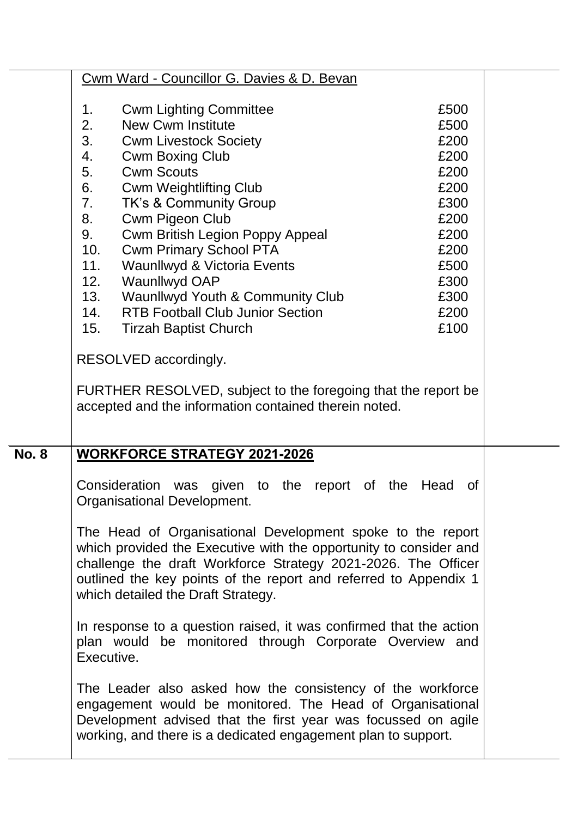|              | Cwm Ward - Councillor G. Davies & D. Bevan                                                                                                                                                                                                                                           |              |  |
|--------------|--------------------------------------------------------------------------------------------------------------------------------------------------------------------------------------------------------------------------------------------------------------------------------------|--------------|--|
|              | <b>Cwm Lighting Committee</b><br>1.                                                                                                                                                                                                                                                  | £500         |  |
|              | 2.<br><b>New Cwm Institute</b>                                                                                                                                                                                                                                                       | £500         |  |
|              | 3.<br><b>Cwm Livestock Society</b>                                                                                                                                                                                                                                                   | £200         |  |
|              | 4.<br><b>Cwm Boxing Club</b>                                                                                                                                                                                                                                                         | £200         |  |
|              | 5.<br><b>Cwm Scouts</b>                                                                                                                                                                                                                                                              | £200         |  |
|              | 6.<br><b>Cwm Weightlifting Club</b>                                                                                                                                                                                                                                                  | £200         |  |
|              | 7.<br><b>TK's &amp; Community Group</b>                                                                                                                                                                                                                                              | £300         |  |
|              | Cwm Pigeon Club<br>8.                                                                                                                                                                                                                                                                | £200         |  |
|              | <b>Cwm British Legion Poppy Appeal</b><br>9.                                                                                                                                                                                                                                         | £200         |  |
|              | 10.<br><b>Cwm Primary School PTA</b>                                                                                                                                                                                                                                                 | £200         |  |
|              | Waunllwyd & Victoria Events<br>11.                                                                                                                                                                                                                                                   | £500         |  |
|              | Waunllwyd OAP<br>12.                                                                                                                                                                                                                                                                 | £300         |  |
|              | 13. Waunllwyd Youth & Community Club                                                                                                                                                                                                                                                 | £300         |  |
|              | 14. RTB Football Club Junior Section<br>15.                                                                                                                                                                                                                                          | £200<br>£100 |  |
|              | <b>Tirzah Baptist Church</b>                                                                                                                                                                                                                                                         |              |  |
|              | RESOLVED accordingly.                                                                                                                                                                                                                                                                |              |  |
|              | FURTHER RESOLVED, subject to the foregoing that the report be<br>accepted and the information contained therein noted.                                                                                                                                                               |              |  |
| <b>No. 8</b> | <b>WORKFORCE STRATEGY 2021-2026</b>                                                                                                                                                                                                                                                  |              |  |
|              | Consideration was given to the report of the Head<br>Organisational Development.<br>The Head of Organisational Development spoke to the report<br>which provided the Executive with the opportunity to consider and<br>challenge the draft Workforce Strategy 2021-2026. The Officer | <b>of</b>    |  |
|              | outlined the key points of the report and referred to Appendix 1<br>which detailed the Draft Strategy.                                                                                                                                                                               |              |  |
|              | In response to a question raised, it was confirmed that the action<br>plan would be monitored through Corporate Overview and<br>Executive.                                                                                                                                           |              |  |
|              | The Leader also asked how the consistency of the workforce<br>engagement would be monitored. The Head of Organisational<br>Development advised that the first year was focussed on agile<br>working, and there is a dedicated engagement plan to support.                            |              |  |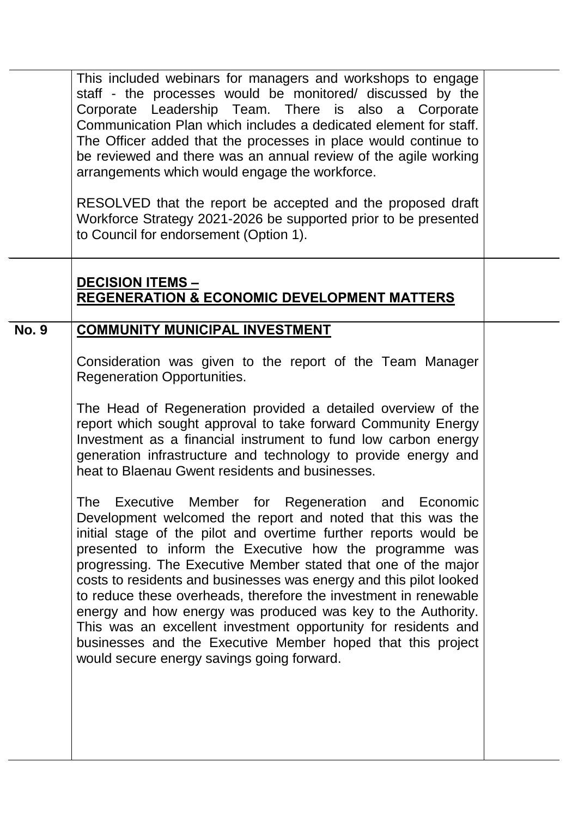|              | This included webinars for managers and workshops to engage<br>staff - the processes would be monitored/ discussed by the<br>Corporate Leadership Team. There is also a Corporate<br>Communication Plan which includes a dedicated element for staff.<br>The Officer added that the processes in place would continue to<br>be reviewed and there was an annual review of the agile working<br>arrangements which would engage the workforce.<br>RESOLVED that the report be accepted and the proposed draft<br>Workforce Strategy 2021-2026 be supported prior to be presented<br>to Council for endorsement (Option 1).                                                                                                                                                                                                                                                                                                                                                                                                                                                                                                                                                       |  |
|--------------|---------------------------------------------------------------------------------------------------------------------------------------------------------------------------------------------------------------------------------------------------------------------------------------------------------------------------------------------------------------------------------------------------------------------------------------------------------------------------------------------------------------------------------------------------------------------------------------------------------------------------------------------------------------------------------------------------------------------------------------------------------------------------------------------------------------------------------------------------------------------------------------------------------------------------------------------------------------------------------------------------------------------------------------------------------------------------------------------------------------------------------------------------------------------------------|--|
|              | <b>DECISION ITEMS -</b><br><b>REGENERATION &amp; ECONOMIC DEVELOPMENT MATTERS</b>                                                                                                                                                                                                                                                                                                                                                                                                                                                                                                                                                                                                                                                                                                                                                                                                                                                                                                                                                                                                                                                                                               |  |
| <b>No. 9</b> | <b>COMMUNITY MUNICIPAL INVESTMENT</b><br>Consideration was given to the report of the Team Manager<br><b>Regeneration Opportunities.</b><br>The Head of Regeneration provided a detailed overview of the<br>report which sought approval to take forward Community Energy<br>Investment as a financial instrument to fund low carbon energy<br>generation infrastructure and technology to provide energy and<br>heat to Blaenau Gwent residents and businesses.<br>The Executive Member for Regeneration and Economic<br>Development welcomed the report and noted that this was the<br>initial stage of the pilot and overtime further reports would be<br>presented to inform the Executive how the programme was<br>progressing. The Executive Member stated that one of the major<br>costs to residents and businesses was energy and this pilot looked<br>to reduce these overheads, therefore the investment in renewable<br>energy and how energy was produced was key to the Authority.<br>This was an excellent investment opportunity for residents and<br>businesses and the Executive Member hoped that this project<br>would secure energy savings going forward. |  |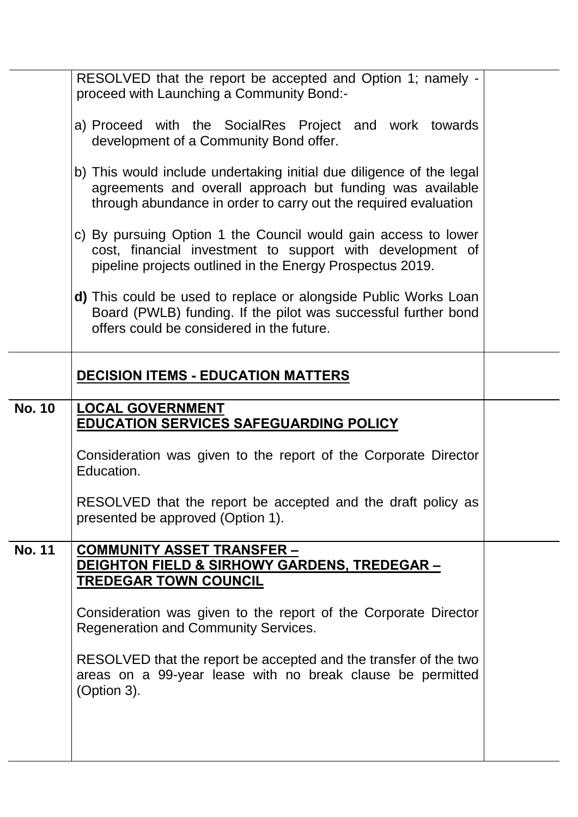|               | RESOLVED that the report be accepted and Option 1; namely -<br>proceed with Launching a Community Bond:-                                                                                             |  |
|---------------|------------------------------------------------------------------------------------------------------------------------------------------------------------------------------------------------------|--|
|               | a) Proceed with the SocialRes Project and work towards<br>development of a Community Bond offer.                                                                                                     |  |
|               | b) This would include undertaking initial due diligence of the legal<br>agreements and overall approach but funding was available<br>through abundance in order to carry out the required evaluation |  |
|               | c) By pursuing Option 1 the Council would gain access to lower<br>cost, financial investment to support with development of<br>pipeline projects outlined in the Energy Prospectus 2019.             |  |
|               | <b>d)</b> This could be used to replace or alongside Public Works Loan<br>Board (PWLB) funding. If the pilot was successful further bond<br>offers could be considered in the future.                |  |
|               | <b>DECISION ITEMS - EDUCATION MATTERS</b>                                                                                                                                                            |  |
| <b>No. 10</b> | <b>LOCAL GOVERNMENT</b><br><b>EDUCATION SERVICES SAFEGUARDING POLICY</b>                                                                                                                             |  |
|               | Consideration was given to the report of the Corporate Director<br>Education.                                                                                                                        |  |
|               | RESOLVED that the report be accepted and the draft policy as<br>presented be approved (Option 1).                                                                                                    |  |
| <b>No. 11</b> | <u>COMMUNITY ASSET TRANSFER –</u><br><u>DEIGHTON FIELD &amp; SIRHOWY GARDENS, TREDEGAR - </u><br><b>TREDEGAR TOWN COUNCIL</b>                                                                        |  |
|               | Consideration was given to the report of the Corporate Director<br><b>Regeneration and Community Services.</b>                                                                                       |  |
|               | RESOLVED that the report be accepted and the transfer of the two<br>areas on a 99-year lease with no break clause be permitted<br>(Option 3).                                                        |  |
|               |                                                                                                                                                                                                      |  |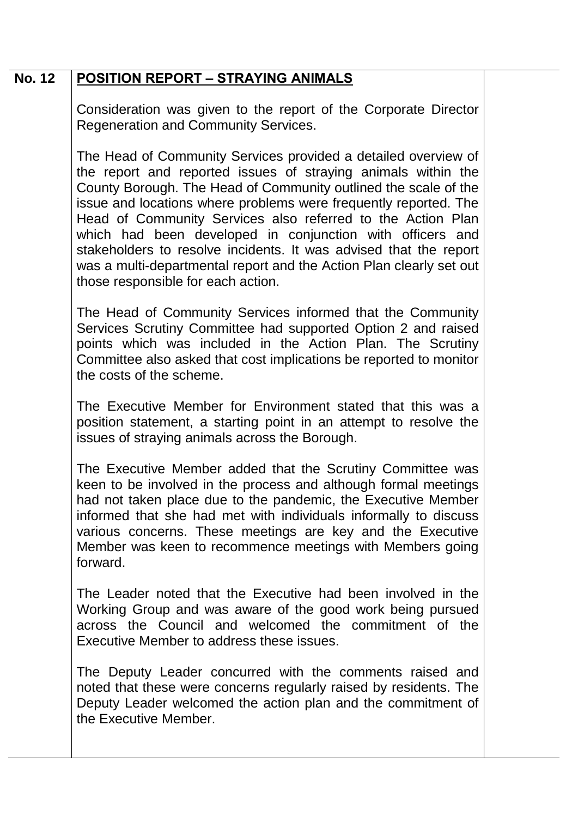## **No. 12 POSITION REPORT – STRAYING ANIMALS**

Consideration was given to the report of the Corporate Director Regeneration and Community Services.

The Head of Community Services provided a detailed overview of the report and reported issues of straying animals within the County Borough. The Head of Community outlined the scale of the issue and locations where problems were frequently reported. The Head of Community Services also referred to the Action Plan which had been developed in conjunction with officers and stakeholders to resolve incidents. It was advised that the report was a multi-departmental report and the Action Plan clearly set out those responsible for each action.

The Head of Community Services informed that the Community Services Scrutiny Committee had supported Option 2 and raised points which was included in the Action Plan. The Scrutiny Committee also asked that cost implications be reported to monitor the costs of the scheme.

The Executive Member for Environment stated that this was a position statement, a starting point in an attempt to resolve the issues of straying animals across the Borough.

The Executive Member added that the Scrutiny Committee was keen to be involved in the process and although formal meetings had not taken place due to the pandemic, the Executive Member informed that she had met with individuals informally to discuss various concerns. These meetings are key and the Executive Member was keen to recommence meetings with Members going forward.

The Leader noted that the Executive had been involved in the Working Group and was aware of the good work being pursued across the Council and welcomed the commitment of the Executive Member to address these issues.

The Deputy Leader concurred with the comments raised and noted that these were concerns regularly raised by residents. The Deputy Leader welcomed the action plan and the commitment of the Executive Member.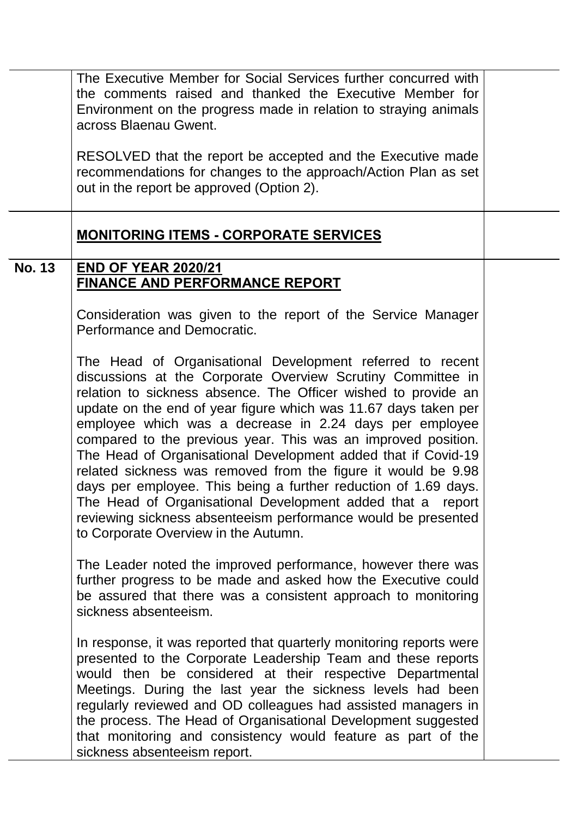|               | The Executive Member for Social Services further concurred with<br>the comments raised and thanked the Executive Member for<br>Environment on the progress made in relation to straying animals<br>across Blaenau Gwent.<br>RESOLVED that the report be accepted and the Executive made<br>recommendations for changes to the approach/Action Plan as set<br>out in the report be approved (Option 2).                                                                                                                                                                                                                                                                                                                                                                |  |
|---------------|-----------------------------------------------------------------------------------------------------------------------------------------------------------------------------------------------------------------------------------------------------------------------------------------------------------------------------------------------------------------------------------------------------------------------------------------------------------------------------------------------------------------------------------------------------------------------------------------------------------------------------------------------------------------------------------------------------------------------------------------------------------------------|--|
|               | <b>MONITORING ITEMS - CORPORATE SERVICES</b>                                                                                                                                                                                                                                                                                                                                                                                                                                                                                                                                                                                                                                                                                                                          |  |
| <b>No. 13</b> | <b>END OF YEAR 2020/21</b>                                                                                                                                                                                                                                                                                                                                                                                                                                                                                                                                                                                                                                                                                                                                            |  |
|               | <b>FINANCE AND PERFORMANCE REPORT</b>                                                                                                                                                                                                                                                                                                                                                                                                                                                                                                                                                                                                                                                                                                                                 |  |
|               | Consideration was given to the report of the Service Manager<br>Performance and Democratic.                                                                                                                                                                                                                                                                                                                                                                                                                                                                                                                                                                                                                                                                           |  |
|               | The Head of Organisational Development referred to recent<br>discussions at the Corporate Overview Scrutiny Committee in<br>relation to sickness absence. The Officer wished to provide an<br>update on the end of year figure which was 11.67 days taken per<br>employee which was a decrease in 2.24 days per employee<br>compared to the previous year. This was an improved position.<br>The Head of Organisational Development added that if Covid-19<br>related sickness was removed from the figure it would be 9.98<br>days per employee. This being a further reduction of 1.69 days.<br>The Head of Organisational Development added that a report<br>reviewing sickness absenteeism performance would be presented<br>to Corporate Overview in the Autumn. |  |
|               | The Leader noted the improved performance, however there was<br>further progress to be made and asked how the Executive could<br>be assured that there was a consistent approach to monitoring<br>sickness absenteeism.                                                                                                                                                                                                                                                                                                                                                                                                                                                                                                                                               |  |
|               | In response, it was reported that quarterly monitoring reports were<br>presented to the Corporate Leadership Team and these reports<br>would then be considered at their respective Departmental<br>Meetings. During the last year the sickness levels had been<br>regularly reviewed and OD colleagues had assisted managers in<br>the process. The Head of Organisational Development suggested<br>that monitoring and consistency would feature as part of the<br>sickness absenteeism report.                                                                                                                                                                                                                                                                     |  |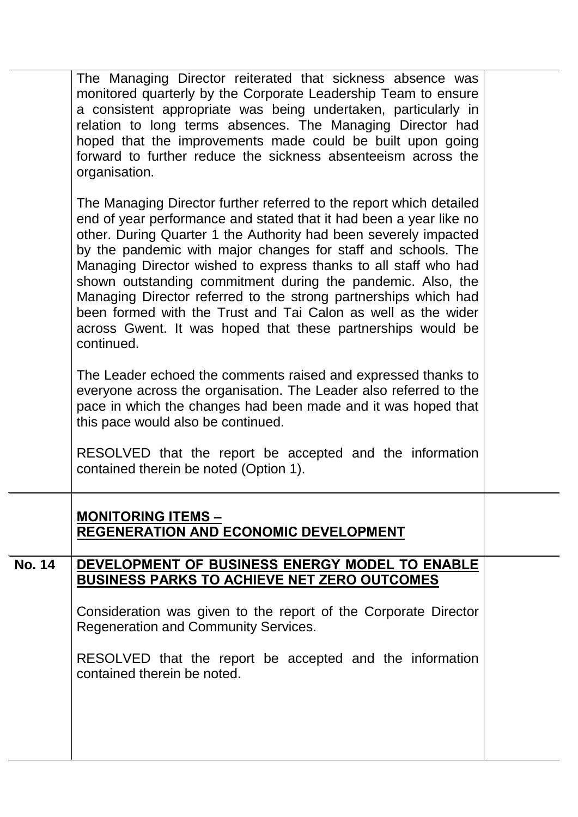|               | The Managing Director reiterated that sickness absence was<br>monitored quarterly by the Corporate Leadership Team to ensure<br>a consistent appropriate was being undertaken, particularly in<br>relation to long terms absences. The Managing Director had<br>hoped that the improvements made could be built upon going<br>forward to further reduce the sickness absenteeism across the<br>organisation.                                                                                                                                                                                                                      |  |
|---------------|-----------------------------------------------------------------------------------------------------------------------------------------------------------------------------------------------------------------------------------------------------------------------------------------------------------------------------------------------------------------------------------------------------------------------------------------------------------------------------------------------------------------------------------------------------------------------------------------------------------------------------------|--|
|               | The Managing Director further referred to the report which detailed<br>end of year performance and stated that it had been a year like no<br>other. During Quarter 1 the Authority had been severely impacted<br>by the pandemic with major changes for staff and schools. The<br>Managing Director wished to express thanks to all staff who had<br>shown outstanding commitment during the pandemic. Also, the<br>Managing Director referred to the strong partnerships which had<br>been formed with the Trust and Tai Calon as well as the wider<br>across Gwent. It was hoped that these partnerships would be<br>continued. |  |
|               | The Leader echoed the comments raised and expressed thanks to<br>everyone across the organisation. The Leader also referred to the<br>pace in which the changes had been made and it was hoped that<br>this pace would also be continued.                                                                                                                                                                                                                                                                                                                                                                                         |  |
|               | RESOLVED that the report be accepted and the information<br>contained therein be noted (Option 1).                                                                                                                                                                                                                                                                                                                                                                                                                                                                                                                                |  |
|               | <b>MONITORING ITEMS -</b><br>REGENERATION AND ECONOMIC DEVELOPMENT                                                                                                                                                                                                                                                                                                                                                                                                                                                                                                                                                                |  |
| <b>No. 14</b> | DEVELOPMENT OF BUSINESS ENERGY MODEL TO ENABLE<br><b>BUSINESS PARKS TO ACHIEVE NET ZERO OUTCOMES</b>                                                                                                                                                                                                                                                                                                                                                                                                                                                                                                                              |  |
|               | Consideration was given to the report of the Corporate Director<br><b>Regeneration and Community Services.</b>                                                                                                                                                                                                                                                                                                                                                                                                                                                                                                                    |  |
|               | RESOLVED that the report be accepted and the information<br>contained therein be noted.                                                                                                                                                                                                                                                                                                                                                                                                                                                                                                                                           |  |
|               |                                                                                                                                                                                                                                                                                                                                                                                                                                                                                                                                                                                                                                   |  |
|               |                                                                                                                                                                                                                                                                                                                                                                                                                                                                                                                                                                                                                                   |  |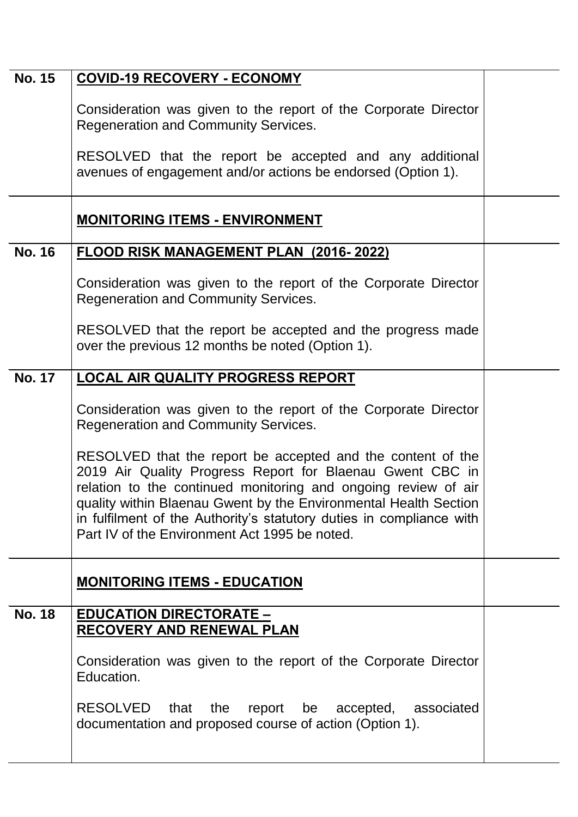| <b>No. 15</b> | <b>COVID-19 RECOVERY - ECONOMY</b>                                                                                                                                                                                                                                                                                                                                                                                                                                                                        |  |
|---------------|-----------------------------------------------------------------------------------------------------------------------------------------------------------------------------------------------------------------------------------------------------------------------------------------------------------------------------------------------------------------------------------------------------------------------------------------------------------------------------------------------------------|--|
|               | Consideration was given to the report of the Corporate Director<br><b>Regeneration and Community Services.</b><br>RESOLVED that the report be accepted and any additional<br>avenues of engagement and/or actions be endorsed (Option 1).                                                                                                                                                                                                                                                                 |  |
|               | <b>MONITORING ITEMS - ENVIRONMENT</b>                                                                                                                                                                                                                                                                                                                                                                                                                                                                     |  |
| <b>No. 16</b> | <b>FLOOD RISK MANAGEMENT PLAN (2016-2022)</b>                                                                                                                                                                                                                                                                                                                                                                                                                                                             |  |
|               | Consideration was given to the report of the Corporate Director<br><b>Regeneration and Community Services.</b>                                                                                                                                                                                                                                                                                                                                                                                            |  |
|               | RESOLVED that the report be accepted and the progress made<br>over the previous 12 months be noted (Option 1).                                                                                                                                                                                                                                                                                                                                                                                            |  |
| <b>No. 17</b> | <b>LOCAL AIR QUALITY PROGRESS REPORT</b>                                                                                                                                                                                                                                                                                                                                                                                                                                                                  |  |
|               | Consideration was given to the report of the Corporate Director<br><b>Regeneration and Community Services.</b><br>RESOLVED that the report be accepted and the content of the<br>2019 Air Quality Progress Report for Blaenau Gwent CBC in<br>relation to the continued monitoring and ongoing review of air<br>quality within Blaenau Gwent by the Environmental Health Section<br>in fulfilment of the Authority's statutory duties in compliance with<br>Part IV of the Environment Act 1995 be noted. |  |
|               |                                                                                                                                                                                                                                                                                                                                                                                                                                                                                                           |  |
|               | <b>MONITORING ITEMS - EDUCATION</b>                                                                                                                                                                                                                                                                                                                                                                                                                                                                       |  |
| <b>No. 18</b> | <b>EDUCATION DIRECTORATE -</b><br><b>RECOVERY AND RENEWAL PLAN</b>                                                                                                                                                                                                                                                                                                                                                                                                                                        |  |
|               | Consideration was given to the report of the Corporate Director<br>Education.                                                                                                                                                                                                                                                                                                                                                                                                                             |  |
|               | RESOLVED that<br>the<br>report be accepted, associated<br>documentation and proposed course of action (Option 1).                                                                                                                                                                                                                                                                                                                                                                                         |  |
|               |                                                                                                                                                                                                                                                                                                                                                                                                                                                                                                           |  |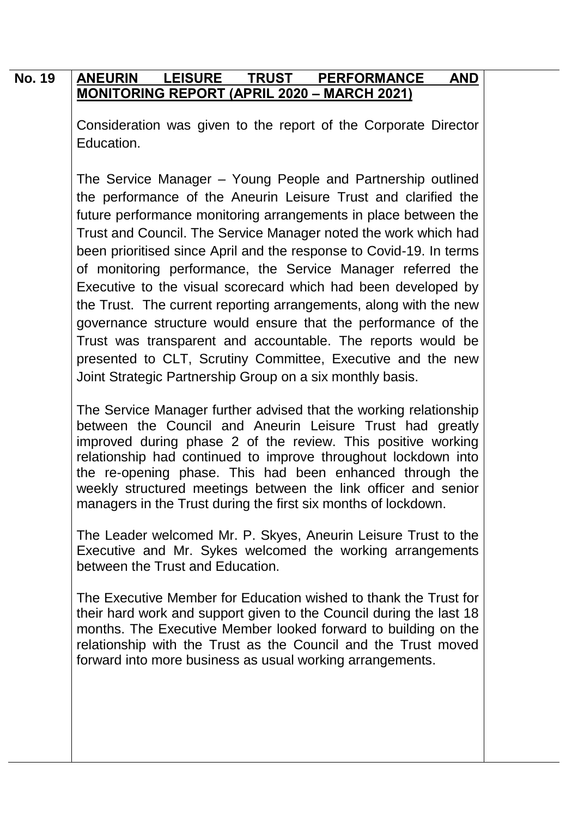## **No. 19 ANEURIN LEISURE TRUST PERFORMANCE AND MONITORING REPORT (APRIL 2020 – MARCH 2021)**

Consideration was given to the report of the Corporate Director Education.

The Service Manager – Young People and Partnership outlined the performance of the Aneurin Leisure Trust and clarified the future performance monitoring arrangements in place between the Trust and Council. The Service Manager noted the work which had been prioritised since April and the response to Covid-19. In terms of monitoring performance, the Service Manager referred the Executive to the visual scorecard which had been developed by the Trust. The current reporting arrangements, along with the new governance structure would ensure that the performance of the Trust was transparent and accountable. The reports would be presented to CLT, Scrutiny Committee, Executive and the new Joint Strategic Partnership Group on a six monthly basis.

The Service Manager further advised that the working relationship between the Council and Aneurin Leisure Trust had greatly improved during phase 2 of the review. This positive working relationship had continued to improve throughout lockdown into the re-opening phase. This had been enhanced through the weekly structured meetings between the link officer and senior managers in the Trust during the first six months of lockdown.

The Leader welcomed Mr. P. Skyes, Aneurin Leisure Trust to the Executive and Mr. Sykes welcomed the working arrangements between the Trust and Education.

The Executive Member for Education wished to thank the Trust for their hard work and support given to the Council during the last 18 months. The Executive Member looked forward to building on the relationship with the Trust as the Council and the Trust moved forward into more business as usual working arrangements.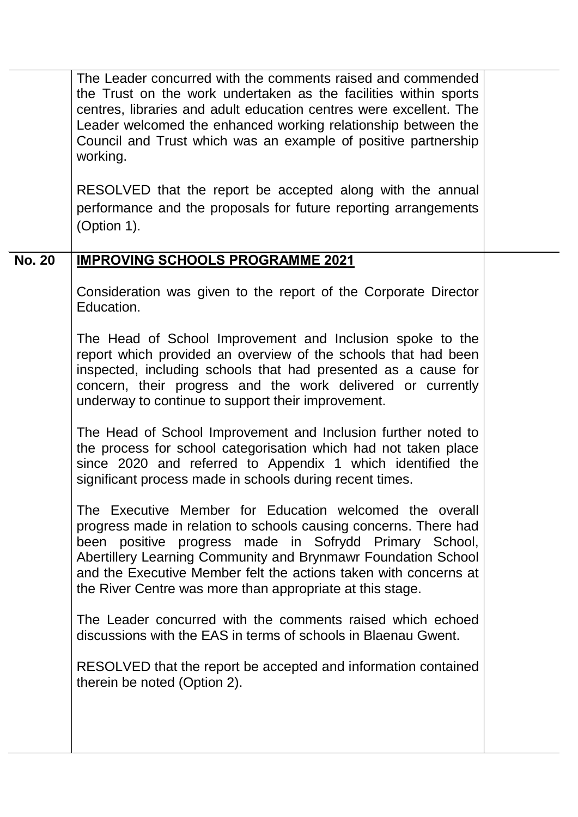|               | The Leader concurred with the comments raised and commended<br>the Trust on the work undertaken as the facilities within sports<br>centres, libraries and adult education centres were excellent. The<br>Leader welcomed the enhanced working relationship between the<br>Council and Trust which was an example of positive partnership<br>working.<br>RESOLVED that the report be accepted along with the annual<br>performance and the proposals for future reporting arrangements<br>(Option 1). |  |
|---------------|------------------------------------------------------------------------------------------------------------------------------------------------------------------------------------------------------------------------------------------------------------------------------------------------------------------------------------------------------------------------------------------------------------------------------------------------------------------------------------------------------|--|
| <b>No. 20</b> | <b>IMPROVING SCHOOLS PROGRAMME 2021</b>                                                                                                                                                                                                                                                                                                                                                                                                                                                              |  |
|               | Consideration was given to the report of the Corporate Director<br>Education.                                                                                                                                                                                                                                                                                                                                                                                                                        |  |
|               | The Head of School Improvement and Inclusion spoke to the<br>report which provided an overview of the schools that had been<br>inspected, including schools that had presented as a cause for<br>concern, their progress and the work delivered or currently<br>underway to continue to support their improvement.                                                                                                                                                                                   |  |
|               | The Head of School Improvement and Inclusion further noted to<br>the process for school categorisation which had not taken place<br>since 2020 and referred to Appendix 1 which identified the<br>significant process made in schools during recent times.                                                                                                                                                                                                                                           |  |
|               | The Executive Member for Education welcomed the overall<br>progress made in relation to schools causing concerns. There had<br>been positive progress made in Sofrydd Primary School,<br>Abertillery Learning Community and Brynmawr Foundation School<br>and the Executive Member felt the actions taken with concerns at<br>the River Centre was more than appropriate at this stage.                                                                                                              |  |
|               | The Leader concurred with the comments raised which echoed<br>discussions with the EAS in terms of schools in Blaenau Gwent.                                                                                                                                                                                                                                                                                                                                                                         |  |
|               | RESOLVED that the report be accepted and information contained<br>therein be noted (Option 2).                                                                                                                                                                                                                                                                                                                                                                                                       |  |
|               |                                                                                                                                                                                                                                                                                                                                                                                                                                                                                                      |  |

 $\ddot{\phantom{a}}$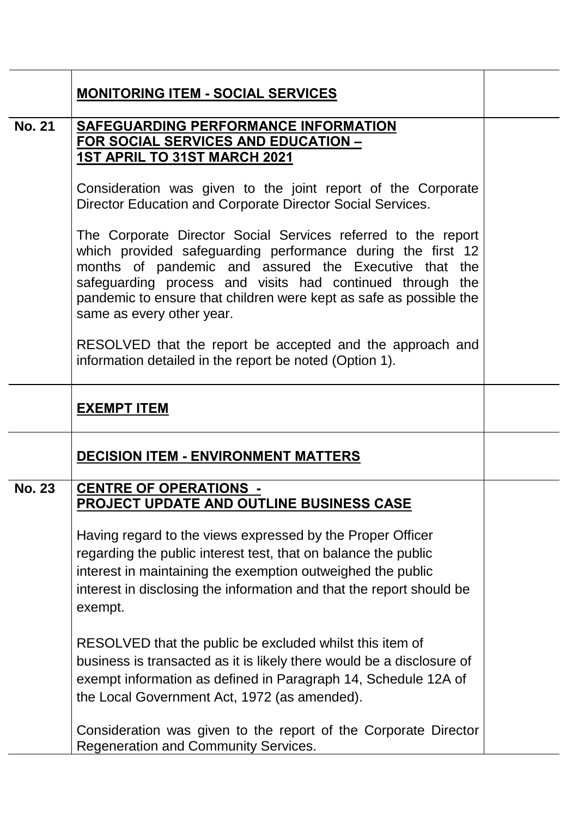|               | <b>MONITORING ITEM - SOCIAL SERVICES</b>                                                                                                                                                                                                                                                                                                              |  |
|---------------|-------------------------------------------------------------------------------------------------------------------------------------------------------------------------------------------------------------------------------------------------------------------------------------------------------------------------------------------------------|--|
| <b>No. 21</b> | <b>SAFEGUARDING PERFORMANCE INFORMATION</b><br><b>FOR SOCIAL SERVICES AND EDUCATION -</b><br>1ST APRIL TO 31ST MARCH 2021                                                                                                                                                                                                                             |  |
|               | Consideration was given to the joint report of the Corporate<br>Director Education and Corporate Director Social Services.                                                                                                                                                                                                                            |  |
|               | The Corporate Director Social Services referred to the report<br>which provided safeguarding performance during the first 12<br>months of pandemic and assured the Executive that the<br>safeguarding process and visits had continued through the<br>pandemic to ensure that children were kept as safe as possible the<br>same as every other year. |  |
|               | RESOLVED that the report be accepted and the approach and<br>information detailed in the report be noted (Option 1).                                                                                                                                                                                                                                  |  |
|               | <b>EXEMPT ITEM</b>                                                                                                                                                                                                                                                                                                                                    |  |
|               | <b>DECISION ITEM - ENVIRONMENT MATTERS</b>                                                                                                                                                                                                                                                                                                            |  |
| <b>No. 23</b> | <b>CENTRE OF OPERATIONS -</b><br>PROJECT UPDATE AND OUTLINE BUSINESS CASE                                                                                                                                                                                                                                                                             |  |
|               | Having regard to the views expressed by the Proper Officer<br>regarding the public interest test, that on balance the public<br>interest in maintaining the exemption outweighed the public<br>interest in disclosing the information and that the report should be<br>exempt.                                                                        |  |
|               | RESOLVED that the public be excluded whilst this item of<br>business is transacted as it is likely there would be a disclosure of<br>exempt information as defined in Paragraph 14, Schedule 12A of<br>the Local Government Act, 1972 (as amended).                                                                                                   |  |
|               | Consideration was given to the report of the Corporate Director<br><b>Regeneration and Community Services.</b>                                                                                                                                                                                                                                        |  |